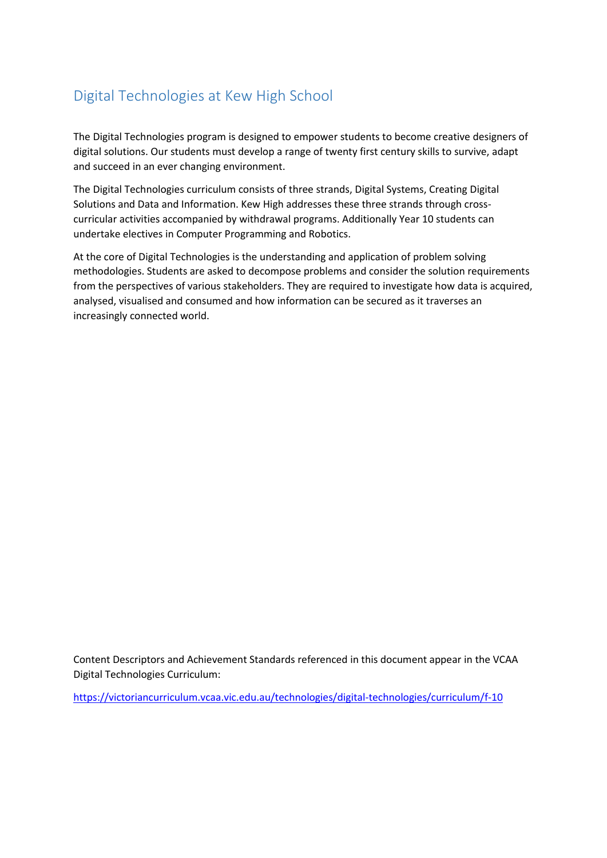# Digital Technologies at Kew High School

The Digital Technologies program is designed to empower students to become creative designers of digital solutions. Our students must develop a range of twenty first century skills to survive, adapt and succeed in an ever changing environment.

The Digital Technologies curriculum consists of three strands, Digital Systems, Creating Digital Solutions and Data and Information. Kew High addresses these three strands through crosscurricular activities accompanied by withdrawal programs. Additionally Year 10 students can undertake electives in Computer Programming and Robotics.

At the core of Digital Technologies is the understanding and application of problem solving methodologies. Students are asked to decompose problems and consider the solution requirements from the perspectives of various stakeholders. They are required to investigate how data is acquired, analysed, visualised and consumed and how information can be secured as it traverses an increasingly connected world.

Content Descriptors and Achievement Standards referenced in this document appear in the VCAA Digital Technologies Curriculum:

<https://victoriancurriculum.vcaa.vic.edu.au/technologies/digital-technologies/curriculum/f-10>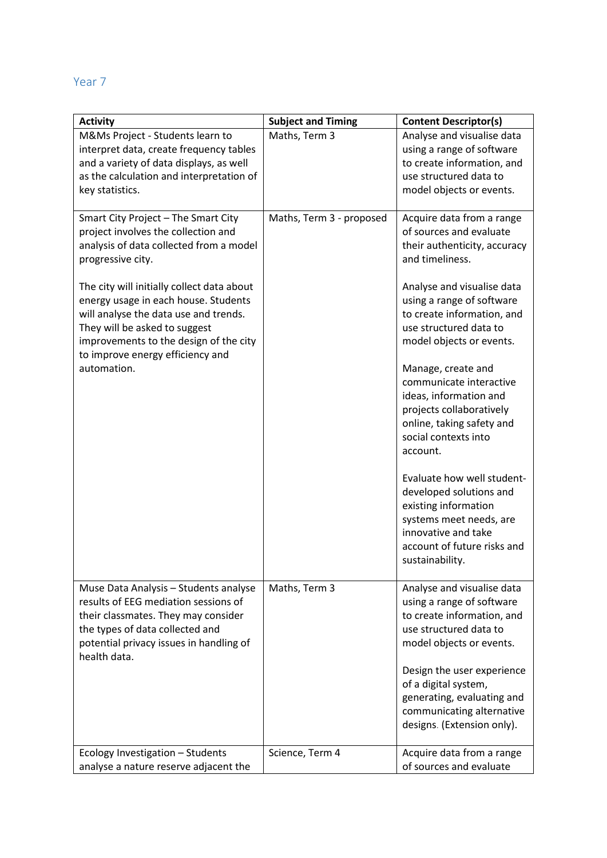### Year 7

| <b>Activity</b>                                                                                                                                                                                                                            | <b>Subject and Timing</b> | <b>Content Descriptor(s)</b>                                                                                                                                                      |
|--------------------------------------------------------------------------------------------------------------------------------------------------------------------------------------------------------------------------------------------|---------------------------|-----------------------------------------------------------------------------------------------------------------------------------------------------------------------------------|
| M&Ms Project - Students learn to<br>interpret data, create frequency tables<br>and a variety of data displays, as well<br>as the calculation and interpretation of<br>key statistics.                                                      | Maths, Term 3             | Analyse and visualise data<br>using a range of software<br>to create information, and<br>use structured data to<br>model objects or events.                                       |
| Smart City Project - The Smart City<br>project involves the collection and<br>analysis of data collected from a model<br>progressive city.                                                                                                 | Maths, Term 3 - proposed  | Acquire data from a range<br>of sources and evaluate<br>their authenticity, accuracy<br>and timeliness.                                                                           |
| The city will initially collect data about<br>energy usage in each house. Students<br>will analyse the data use and trends.<br>They will be asked to suggest<br>improvements to the design of the city<br>to improve energy efficiency and |                           | Analyse and visualise data<br>using a range of software<br>to create information, and<br>use structured data to<br>model objects or events.                                       |
| automation.                                                                                                                                                                                                                                |                           | Manage, create and<br>communicate interactive<br>ideas, information and<br>projects collaboratively<br>online, taking safety and<br>social contexts into<br>account.              |
|                                                                                                                                                                                                                                            |                           | Evaluate how well student-<br>developed solutions and<br>existing information<br>systems meet needs, are<br>innovative and take<br>account of future risks and<br>sustainability. |
| Muse Data Analysis - Students analyse<br>results of EEG mediation sessions of<br>their classmates. They may consider<br>the types of data collected and<br>potential privacy issues in handling of<br>health data.                         | Maths, Term 3             | Analyse and visualise data<br>using a range of software<br>to create information, and<br>use structured data to<br>model objects or events.                                       |
|                                                                                                                                                                                                                                            |                           | Design the user experience<br>of a digital system,<br>generating, evaluating and<br>communicating alternative<br>designs. (Extension only).                                       |
| Ecology Investigation - Students<br>analyse a nature reserve adjacent the                                                                                                                                                                  | Science, Term 4           | Acquire data from a range<br>of sources and evaluate                                                                                                                              |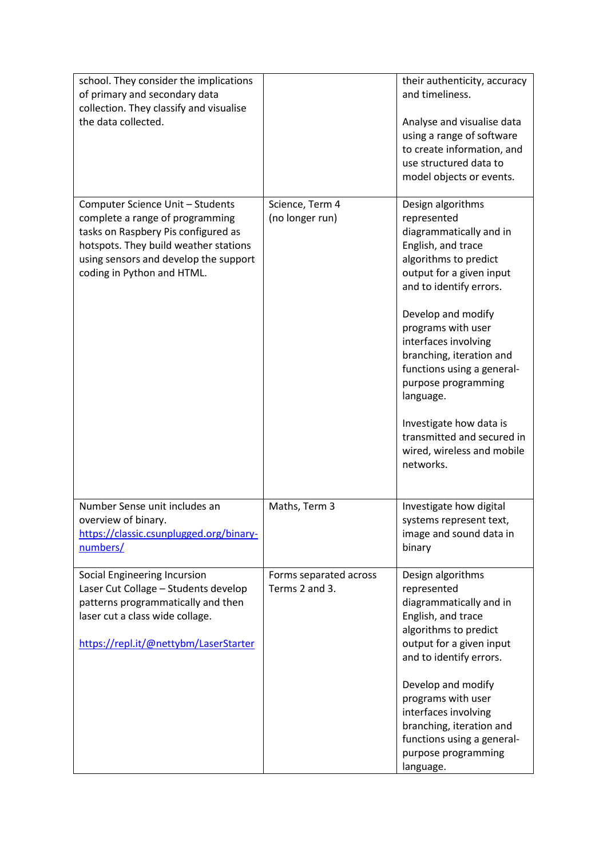| school. They consider the implications<br>of primary and secondary data<br>collection. They classify and visualise<br>the data collected.                                                                                  |                                          | their authenticity, accuracy<br>and timeliness.<br>Analyse and visualise data<br>using a range of software<br>to create information, and<br>use structured data to<br>model objects or events.                                                                                                                                                                                                                                          |
|----------------------------------------------------------------------------------------------------------------------------------------------------------------------------------------------------------------------------|------------------------------------------|-----------------------------------------------------------------------------------------------------------------------------------------------------------------------------------------------------------------------------------------------------------------------------------------------------------------------------------------------------------------------------------------------------------------------------------------|
| Computer Science Unit - Students<br>complete a range of programming<br>tasks on Raspbery Pis configured as<br>hotspots. They build weather stations<br>using sensors and develop the support<br>coding in Python and HTML. | Science, Term 4<br>(no longer run)       | Design algorithms<br>represented<br>diagrammatically and in<br>English, and trace<br>algorithms to predict<br>output for a given input<br>and to identify errors.<br>Develop and modify<br>programs with user<br>interfaces involving<br>branching, iteration and<br>functions using a general-<br>purpose programming<br>language.<br>Investigate how data is<br>transmitted and secured in<br>wired, wireless and mobile<br>networks. |
| Number Sense unit includes an<br>overview of binary.<br>https://classic.csunplugged.org/binary-<br>numbers/                                                                                                                | Maths, Term 3                            | Investigate how digital<br>systems represent text,<br>image and sound data in<br>binary                                                                                                                                                                                                                                                                                                                                                 |
| Social Engineering Incursion<br>Laser Cut Collage - Students develop<br>patterns programmatically and then<br>laser cut a class wide collage.<br>https://repl.it/@nettybm/LaserStarter                                     | Forms separated across<br>Terms 2 and 3. | Design algorithms<br>represented<br>diagrammatically and in<br>English, and trace<br>algorithms to predict<br>output for a given input<br>and to identify errors.<br>Develop and modify<br>programs with user<br>interfaces involving<br>branching, iteration and<br>functions using a general-<br>purpose programming<br>language.                                                                                                     |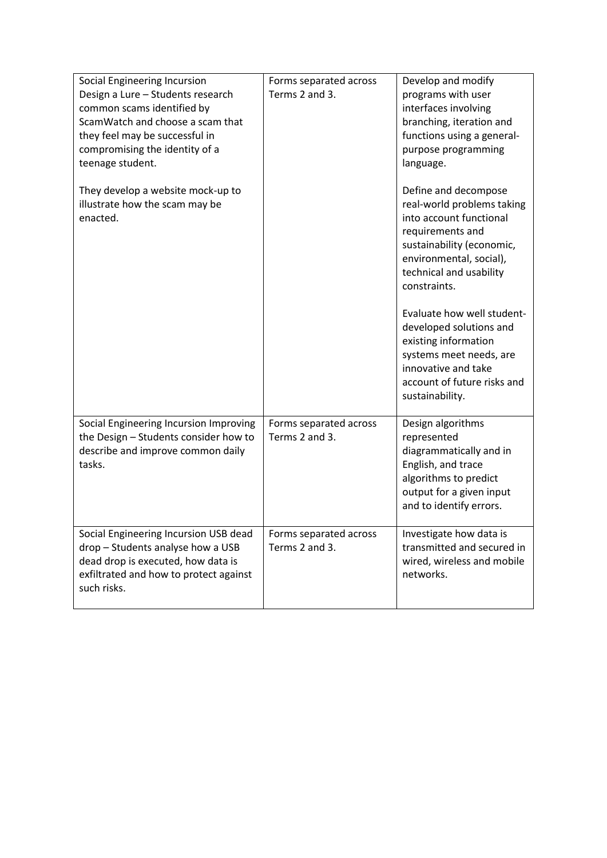| Social Engineering Incursion<br>Design a Lure - Students research<br>common scams identified by<br>ScamWatch and choose a scam that<br>they feel may be successful in<br>compromising the identity of a<br>teenage student. | Forms separated across<br>Terms 2 and 3. | Develop and modify<br>programs with user<br>interfaces involving<br>branching, iteration and<br>functions using a general-<br>purpose programming<br>language.                                                                                                                                                                                                                            |
|-----------------------------------------------------------------------------------------------------------------------------------------------------------------------------------------------------------------------------|------------------------------------------|-------------------------------------------------------------------------------------------------------------------------------------------------------------------------------------------------------------------------------------------------------------------------------------------------------------------------------------------------------------------------------------------|
| They develop a website mock-up to<br>illustrate how the scam may be<br>enacted.                                                                                                                                             |                                          | Define and decompose<br>real-world problems taking<br>into account functional<br>requirements and<br>sustainability (economic,<br>environmental, social),<br>technical and usability<br>constraints.<br>Evaluate how well student-<br>developed solutions and<br>existing information<br>systems meet needs, are<br>innovative and take<br>account of future risks and<br>sustainability. |
| Social Engineering Incursion Improving<br>the Design - Students consider how to<br>describe and improve common daily<br>tasks.                                                                                              | Forms separated across<br>Terms 2 and 3. | Design algorithms<br>represented<br>diagrammatically and in<br>English, and trace<br>algorithms to predict<br>output for a given input<br>and to identify errors.                                                                                                                                                                                                                         |
| Social Engineering Incursion USB dead<br>drop - Students analyse how a USB<br>dead drop is executed, how data is<br>exfiltrated and how to protect against<br>such risks.                                                   | Forms separated across<br>Terms 2 and 3. | Investigate how data is<br>transmitted and secured in<br>wired, wireless and mobile<br>networks.                                                                                                                                                                                                                                                                                          |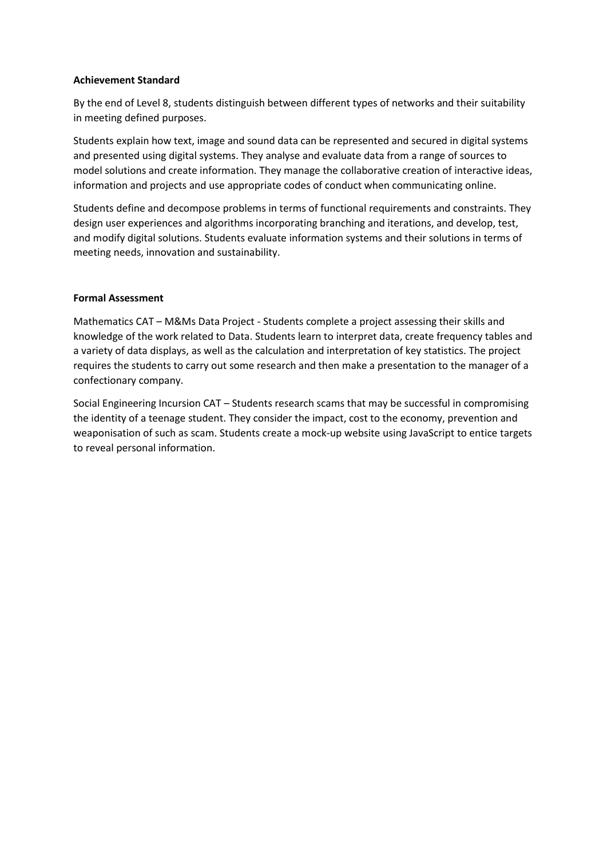### **Achievement Standard**

By the end of Level 8, students distinguish between different types of networks and their suitability in meeting defined purposes.

Students explain how text, image and sound data can be represented and secured in digital systems and presented using digital systems. They analyse and evaluate data from a range of sources to model solutions and create information. They manage the collaborative creation of interactive ideas, information and projects and use appropriate codes of conduct when communicating online.

Students define and decompose problems in terms of functional requirements and constraints. They design user experiences and algorithms incorporating branching and iterations, and develop, test, and modify digital solutions. Students evaluate information systems and their solutions in terms of meeting needs, innovation and sustainability.

#### **Formal Assessment**

Mathematics CAT – M&Ms Data Project - Students complete a project assessing their skills and knowledge of the work related to Data. Students learn to interpret data, create frequency tables and a variety of data displays, as well as the calculation and interpretation of key statistics. The project requires the students to carry out some research and then make a presentation to the manager of a confectionary company.

Social Engineering Incursion CAT – Students research scams that may be successful in compromising the identity of a teenage student. They consider the impact, cost to the economy, prevention and weaponisation of such as scam. Students create a mock-up website using JavaScript to entice targets to reveal personal information.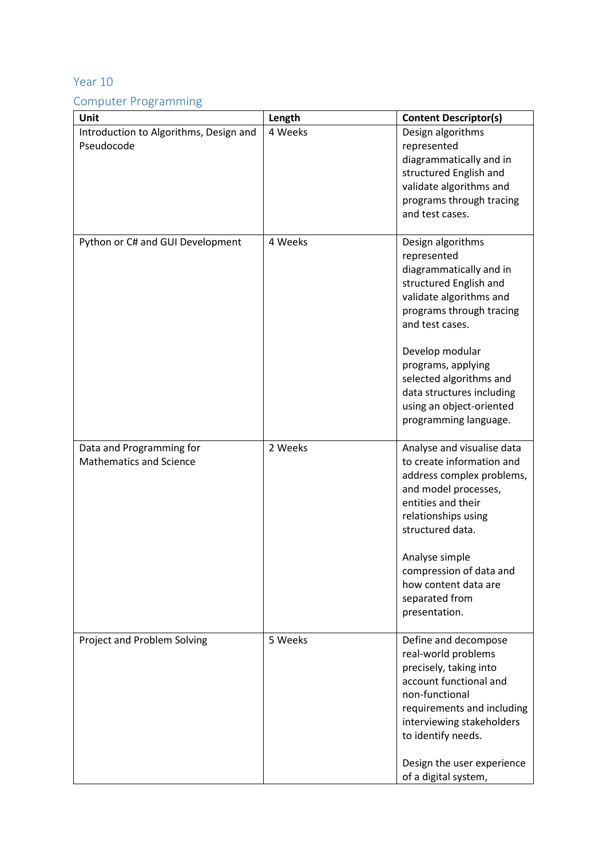### Year 10

## Computer Programming

| Unit                                                       | Length  | <b>Content Descriptor(s)</b>                                                                                                                                                                                                     |
|------------------------------------------------------------|---------|----------------------------------------------------------------------------------------------------------------------------------------------------------------------------------------------------------------------------------|
| Introduction to Algorithms, Design and<br>Pseudocode       | 4 Weeks | Design algorithms<br>represented<br>diagrammatically and in<br>structured English and<br>validate algorithms and<br>programs through tracing<br>and test cases.                                                                  |
| Python or C# and GUI Development                           | 4 Weeks | Design algorithms<br>represented<br>diagrammatically and in<br>structured English and<br>validate algorithms and<br>programs through tracing<br>and test cases.                                                                  |
|                                                            |         | Develop modular<br>programs, applying<br>selected algorithms and<br>data structures including<br>using an object-oriented<br>programming language.                                                                               |
| Data and Programming for<br><b>Mathematics and Science</b> | 2 Weeks | Analyse and visualise data<br>to create information and<br>address complex problems,<br>and model processes,<br>entities and their<br>relationships using<br>structured data.                                                    |
|                                                            |         | Analyse simple<br>compression of data and<br>how content data are<br>separated from<br>presentation.                                                                                                                             |
| Project and Problem Solving                                | 5 Weeks | Define and decompose<br>real-world problems<br>precisely, taking into<br>account functional and<br>non-functional<br>requirements and including<br>interviewing stakeholders<br>to identify needs.<br>Design the user experience |
|                                                            |         | of a digital system,                                                                                                                                                                                                             |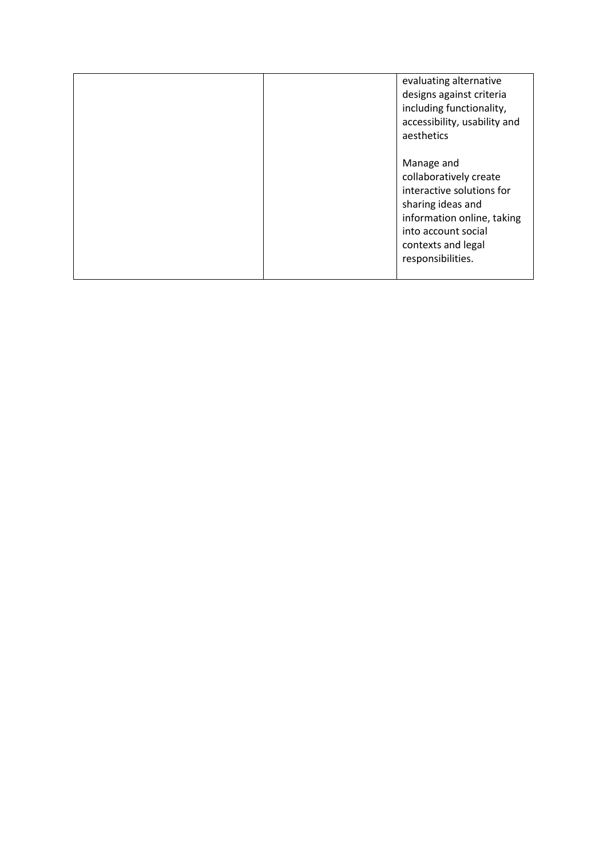|  | evaluating alternative<br>designs against criteria<br>including functionality,<br>accessibility, usability and<br>aesthetics                                                           |
|--|----------------------------------------------------------------------------------------------------------------------------------------------------------------------------------------|
|  | Manage and<br>collaboratively create<br>interactive solutions for<br>sharing ideas and<br>information online, taking<br>into account social<br>contexts and legal<br>responsibilities. |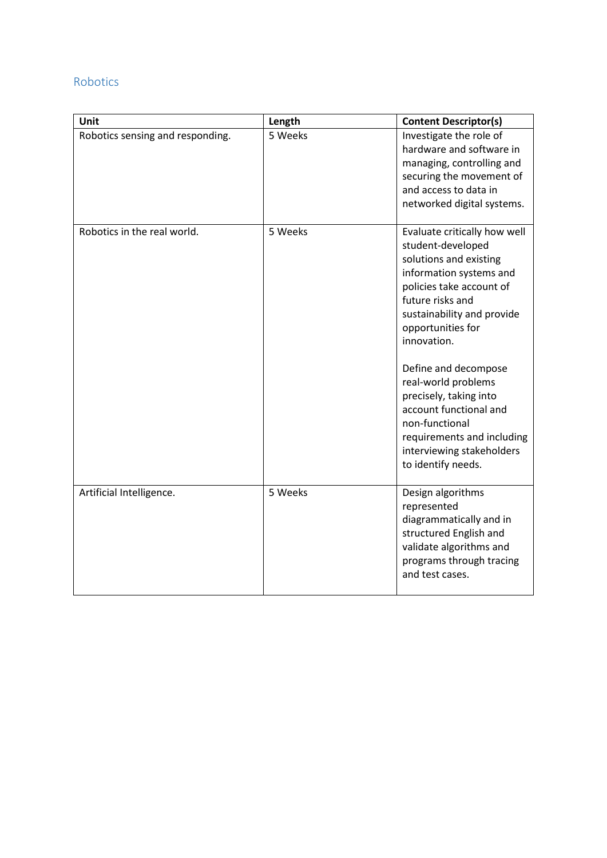### Robotics

| Unit                             | Length  | <b>Content Descriptor(s)</b>                                                                                                                                                                                                                                                                                                                                                                                                   |
|----------------------------------|---------|--------------------------------------------------------------------------------------------------------------------------------------------------------------------------------------------------------------------------------------------------------------------------------------------------------------------------------------------------------------------------------------------------------------------------------|
| Robotics sensing and responding. | 5 Weeks | Investigate the role of<br>hardware and software in<br>managing, controlling and<br>securing the movement of<br>and access to data in<br>networked digital systems.                                                                                                                                                                                                                                                            |
| Robotics in the real world.      | 5 Weeks | Evaluate critically how well<br>student-developed<br>solutions and existing<br>information systems and<br>policies take account of<br>future risks and<br>sustainability and provide<br>opportunities for<br>innovation.<br>Define and decompose<br>real-world problems<br>precisely, taking into<br>account functional and<br>non-functional<br>requirements and including<br>interviewing stakeholders<br>to identify needs. |
| Artificial Intelligence.         | 5 Weeks | Design algorithms<br>represented<br>diagrammatically and in<br>structured English and<br>validate algorithms and<br>programs through tracing<br>and test cases.                                                                                                                                                                                                                                                                |